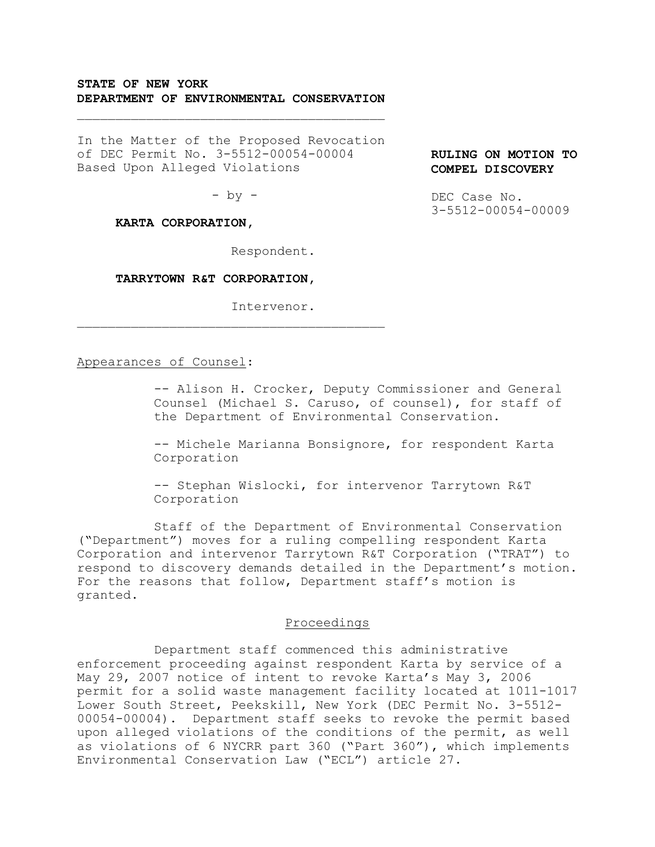# **STATE OF NEW YORK DEPARTMENT OF ENVIRONMENTAL CONSERVATION**

 $\mathcal{L}_\text{max}$  and  $\mathcal{L}_\text{max}$  and  $\mathcal{L}_\text{max}$ 

In the Matter of the Proposed Revocation of DEC Permit No. 3-5512-00054-00004 Based Upon Alleged Violations

 $-$  by  $-$ 

## **KARTA CORPORATION,**

Respondent.

#### **TARRYTOWN R&T CORPORATION,**

 $\mathcal{L}_\text{max}$  and  $\mathcal{L}_\text{max}$  and  $\mathcal{L}_\text{max}$ 

Intervenor.

### Appearances of Counsel:

-- Alison H. Crocker, Deputy Commissioner and General Counsel (Michael S. Caruso, of counsel), for staff of the Department of Environmental Conservation.

-- Michele Marianna Bonsignore, for respondent Karta Corporation

-- Stephan Wislocki, for intervenor Tarrytown R&T Corporation

Staff of the Department of Environmental Conservation ("Department") moves for a ruling compelling respondent Karta Corporation and intervenor Tarrytown R&T Corporation ("TRAT") to respond to discovery demands detailed in the Department's motion. For the reasons that follow, Department staff's motion is granted.

### Proceedings

Department staff commenced this administrative enforcement proceeding against respondent Karta by service of a May 29, 2007 notice of intent to revoke Karta's May 3, 2006 permit for a solid waste management facility located at 1011-1017 Lower South Street, Peekskill, New York (DEC Permit No. 3-5512- 00054-00004). Department staff seeks to revoke the permit based upon alleged violations of the conditions of the permit, as well as violations of 6 NYCRR part 360 ("Part 360"), which implements Environmental Conservation Law ("ECL") article 27.

**RULING ON MOTION TO COMPEL DISCOVERY**

DEC Case No. 3-5512-00054-00009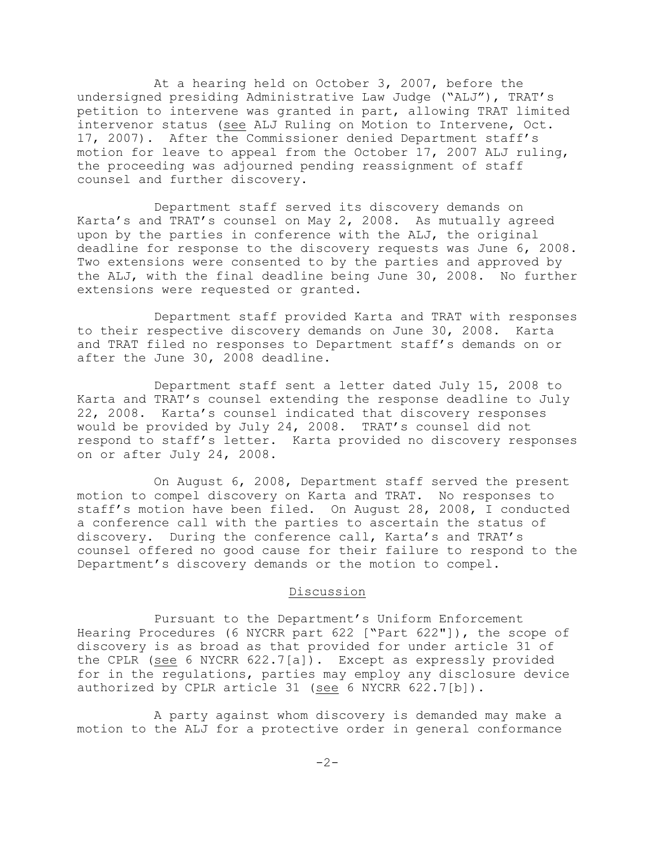At a hearing held on October 3, 2007, before the undersigned presiding Administrative Law Judge ("ALJ"), TRAT's petition to intervene was granted in part, allowing TRAT limited intervenor status (see ALJ Ruling on Motion to Intervene, Oct. 17, 2007). After the Commissioner denied Department staff's motion for leave to appeal from the October 17, 2007 ALJ ruling, the proceeding was adjourned pending reassignment of staff counsel and further discovery.

Department staff served its discovery demands on Karta's and TRAT's counsel on May 2, 2008. As mutually agreed upon by the parties in conference with the ALJ, the original deadline for response to the discovery requests was June 6, 2008. Two extensions were consented to by the parties and approved by the ALJ, with the final deadline being June 30, 2008. No further extensions were requested or granted.

Department staff provided Karta and TRAT with responses to their respective discovery demands on June 30, 2008. Karta and TRAT filed no responses to Department staff's demands on or after the June 30, 2008 deadline.

Department staff sent a letter dated July 15, 2008 to Karta and TRAT's counsel extending the response deadline to July 22, 2008. Karta's counsel indicated that discovery responses would be provided by July 24, 2008. TRAT's counsel did not respond to staff's letter. Karta provided no discovery responses on or after July 24, 2008.

On August 6, 2008, Department staff served the present motion to compel discovery on Karta and TRAT. No responses to staff's motion have been filed. On August 28, 2008, I conducted a conference call with the parties to ascertain the status of discovery. During the conference call, Karta's and TRAT's counsel offered no good cause for their failure to respond to the Department's discovery demands or the motion to compel.

## Discussion

Pursuant to the Department's Uniform Enforcement Hearing Procedures (6 NYCRR part 622 ["Part 622"]), the scope of discovery is as broad as that provided for under article 31 of the CPLR (see 6 NYCRR 622.7[a]). Except as expressly provided for in the regulations, parties may employ any disclosure device authorized by CPLR article 31 (see 6 NYCRR 622.7[b]).

A party against whom discovery is demanded may make a motion to the ALJ for a protective order in general conformance